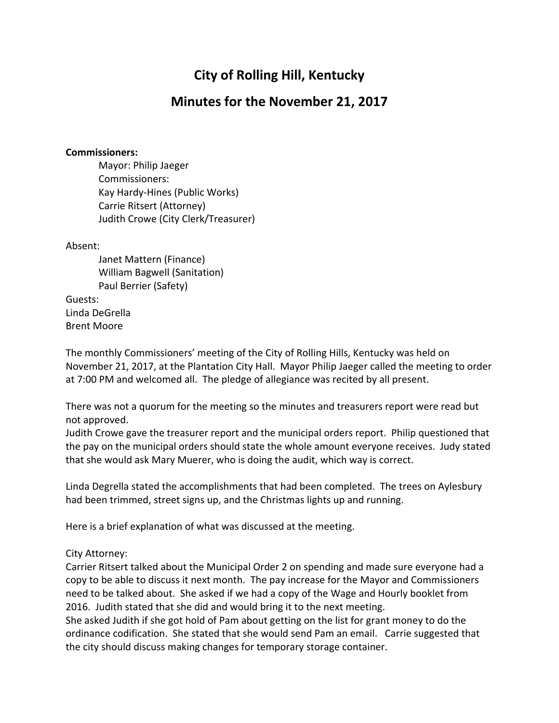# **City of Rolling Hill, Kentucky**

## **Minutes for the November 21, 2017**

#### **Commissioners:**

Mayor: Philip Jaeger Commissioners: Kay Hardy-Hines (Public Works) Carrie Ritsert (Attorney) Judith Crowe (City Clerk/Treasurer)

#### Absent:

Janet Mattern (Finance) William Bagwell (Sanitation) Paul Berrier (Safety)

Guests: Linda DeGrella Brent Moore

The monthly Commissioners' meeting of the City of Rolling Hills, Kentucky was held on November 21, 2017, at the Plantation City Hall. Mayor Philip Jaeger called the meeting to order at 7:00 PM and welcomed all. The pledge of allegiance was recited by all present.

There was not a quorum for the meeting so the minutes and treasurers report were read but not approved.

Judith Crowe gave the treasurer report and the municipal orders report. Philip questioned that the pay on the municipal orders should state the whole amount everyone receives. Judy stated that she would ask Mary Muerer, who is doing the audit, which way is correct.

Linda Degrella stated the accomplishments that had been completed. The trees on Aylesbury had been trimmed, street signs up, and the Christmas lights up and running.

Here is a brief explanation of what was discussed at the meeting.

#### City Attorney:

Carrier Ritsert talked about the Municipal Order 2 on spending and made sure everyone had a copy to be able to discuss it next month. The pay increase for the Mayor and Commissioners need to be talked about. She asked if we had a copy of the Wage and Hourly booklet from 2016. Judith stated that she did and would bring it to the next meeting.

She asked Judith if she got hold of Pam about getting on the list for grant money to do the ordinance codification. She stated that she would send Pam an email. Carrie suggested that the city should discuss making changes for temporary storage container.